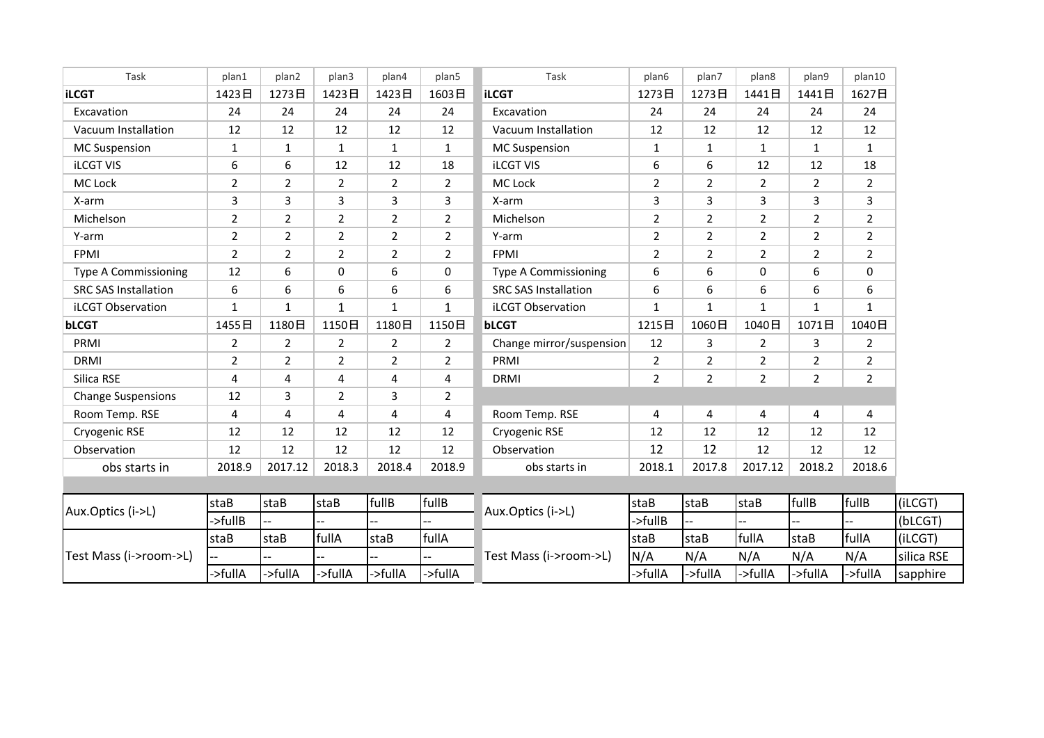| Task                        | plan1          | plan2          | plan3          | plan4          | plan5          | Task                        | plan6          | plan7          | plan8          | plan9          | plan10         |            |
|-----------------------------|----------------|----------------|----------------|----------------|----------------|-----------------------------|----------------|----------------|----------------|----------------|----------------|------------|
| <b>iLCGT</b>                | 1423日          | 1273日          | 1423日          | 1423日          | 1603日          | <b>iLCGT</b>                | 1273日          | 1273日          | 1441日          | 1441日          | 1627日          |            |
| Excavation                  | 24             | 24             | 24             | 24             | 24             | Excavation                  | 24             | 24             | 24             | 24             | 24             |            |
| Vacuum Installation         | 12             | 12             | 12             | 12             | 12             | Vacuum Installation         | 12             | 12             | 12             | 12             | 12             |            |
| <b>MC Suspension</b>        | $\mathbf{1}$   | $\mathbf{1}$   | $\mathbf{1}$   | $\mathbf{1}$   | $\mathbf{1}$   | <b>MC Suspension</b>        | $\mathbf{1}$   | $\mathbf{1}$   | $\mathbf{1}$   | 1              | $\mathbf{1}$   |            |
| <b>iLCGT VIS</b>            | 6              | 6              | 12             | 12             | 18             | <b>iLCGT VIS</b>            | 6              | 6              | 12             | 12             | 18             |            |
| MC Lock                     | $\overline{2}$ | $\overline{2}$ | $\overline{2}$ | $\overline{2}$ | $\overline{2}$ | MC Lock                     | $\overline{2}$ | $\overline{2}$ | $\overline{2}$ | $\overline{2}$ | $\overline{2}$ |            |
| X-arm                       | 3              | 3              | 3              | 3              | 3              | X-arm                       | 3              | 3              | 3              | 3              | 3              |            |
| Michelson                   | 2              | $\overline{2}$ | $\overline{2}$ | $\overline{2}$ | $\overline{2}$ | Michelson                   | $\overline{2}$ | $\overline{2}$ | $\overline{2}$ | $\overline{2}$ | $\overline{2}$ |            |
| Y-arm                       | $\overline{2}$ | $\overline{2}$ | 2              | $\overline{2}$ | $\overline{2}$ | Y-arm                       | $\overline{2}$ | $\overline{2}$ | $\overline{2}$ | $\overline{2}$ | $\overline{2}$ |            |
| <b>FPMI</b>                 | $\overline{2}$ | $\overline{2}$ | 2              | $\overline{2}$ | $\overline{2}$ | <b>FPMI</b>                 | $\overline{2}$ | $\overline{2}$ | $\overline{2}$ | $\overline{2}$ | $\overline{2}$ |            |
| <b>Type A Commissioning</b> | 12             | 6              | $\Omega$       | 6              | $\Omega$       | <b>Type A Commissioning</b> | 6              | 6              | $\Omega$       | 6              | $\mathbf 0$    |            |
| <b>SRC SAS Installation</b> | 6              | 6              | 6              | 6              | 6              | <b>SRC SAS Installation</b> | 6              | 6              | 6              | 6              | 6              |            |
| <b>iLCGT Observation</b>    | $\mathbf{1}$   | $\mathbf{1}$   | $\mathbf{1}$   | $\mathbf{1}$   | $\mathbf{1}$   | <b>iLCGT Observation</b>    | $\mathbf{1}$   | 1              | $\mathbf{1}$   | 1              | $\mathbf{1}$   |            |
| <b>bLCGT</b>                | 1455日          | 1180日          | 1150日          | 1180日          | 1150日          | <b>bLCGT</b>                | 1215日          | 1060日          | 1040日          | 1071日          | 1040日          |            |
| PRMI                        | $\overline{2}$ | $\overline{2}$ | $\overline{2}$ | $\overline{2}$ | $\overline{2}$ | Change mirror/suspension    | 12             | 3              | $\overline{2}$ | 3              | $\overline{2}$ |            |
| <b>DRMI</b>                 | $\overline{2}$ | $\overline{2}$ | 2              | $\overline{2}$ | $\overline{2}$ | PRMI                        | $\overline{2}$ | $\overline{2}$ | $\overline{2}$ | $\overline{2}$ | $\overline{2}$ |            |
| Silica RSE                  | 4              | 4              | 4              | 4              | 4              | <b>DRMI</b>                 | $\overline{2}$ | $\overline{2}$ | $\overline{2}$ | $\overline{2}$ | $\overline{2}$ |            |
| <b>Change Suspensions</b>   | 12             | 3              | $\overline{2}$ | 3              | $\overline{2}$ |                             |                |                |                |                |                |            |
| Room Temp. RSE              | 4              | 4              | 4              | 4              | 4              | Room Temp. RSE              | 4              | 4              | 4              | 4              | 4              |            |
| Cryogenic RSE               | 12             | 12             | 12             | 12             | 12             | Cryogenic RSE               | 12             | 12             | 12             | 12             | 12             |            |
| Observation                 | 12             | 12             | 12             | 12             | 12             | Observation                 | 12             | 12             | 12             | 12             | 12             |            |
| obs starts in               | 2018.9         | 2017.12        | 2018.3         | 2018.4         | 2018.9         | obs starts in               | 2018.1         | 2017.8         | 2017.12        | 2018.2         | 2018.6         |            |
|                             |                |                |                |                |                |                             |                |                |                |                |                |            |
|                             | staB           | staB           | staB           | fullB          | fullB          |                             | staB           | staB           | staB           | fullB          | fullB          | (iLCGT)    |
| Aux.Optics (i->L)           | ->fullB        |                | ÷,             | $-$            | ÷.             | Aux.Optics (i->L)           | ->fullB        | Щ.             | $\overline{a}$ | н.             | --             | (bLCGT)    |
| Test Mass (i->room->L)      | staB           | staB           | fullA          | staB           | fullA          |                             | staB           | staB           | fullA          | staB           | fullA          | (iLCGT)    |
|                             |                |                |                |                |                | Test Mass (i->room->L)      | N/A            | N/A            | N/A            | N/A            | N/A            | silica RSE |
|                             | ->fullA        | ->fullA        | ->fullA        | ->fullA        | ->fullA        |                             | ->fullA        | ->fullA        | ->fullA        | ->fullA        | ->fullA        | sapphire   |